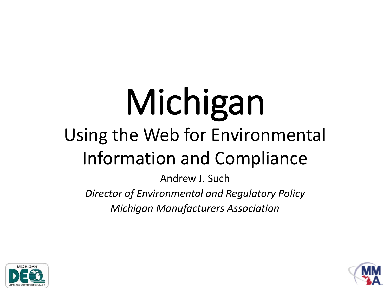# Michigan Using the Web for Environmental Information and Compliance

Andrew J. Such

*Director of Environmental and Regulatory Policy Michigan Manufacturers Association*



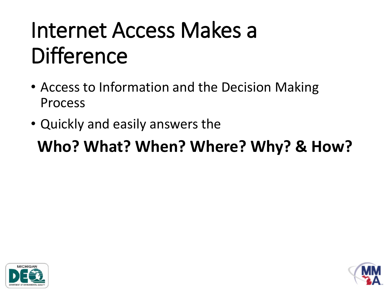### Internet Access Makes a **Difference**

- Access to Information and the Decision Making Process
- Quickly and easily answers the

#### **Who? What? When? Where? Why? & How?**



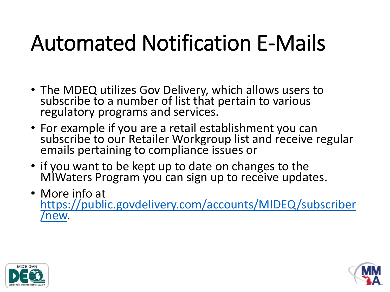### Automated Notification E-Mails

- The MDEQ utilizes Gov Delivery, which allows users to subscribe to a number of list that pertain to various regulatory programs and services.
- For example if you are a retail establishment you can subscribe to our Retailer Workgroup list and receive regular emails pertaining to compliance issues or
- if you want to be kept up to date on changes to the MIWaters Program you can sign up to receive updates.
- More info at [https://public.govdelivery.com/accounts/MIDEQ/subscriber](https://public.govdelivery.com/accounts/MIDEQ/subscriber/new) /new.



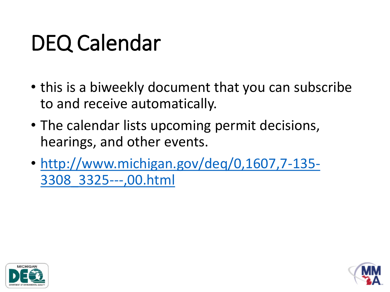## DEQ Calendar

- this is a biweekly document that you can subscribe to and receive automatically.
- The calendar lists upcoming permit decisions, hearings, and other events.
- [http://www.michigan.gov/deq/0,1607,7-135-](http://www.michigan.gov/deq/0,1607,7-135-3308_3325---,00.html) 3308\_3325---,00.html



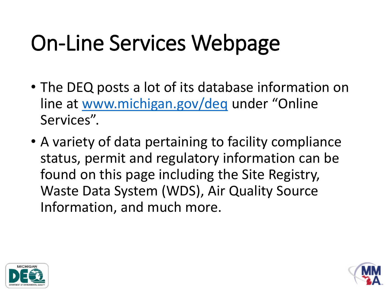## On-Line Services Webpage

- The DEQ posts a lot of its database information on line at [www.michigan.gov/deq](http://www.michigan.gov/deq) under "Online Services".
- A variety of data pertaining to facility compliance status, permit and regulatory information can be found on this page including the Site Registry, Waste Data System (WDS), Air Quality Source Information, and much more.



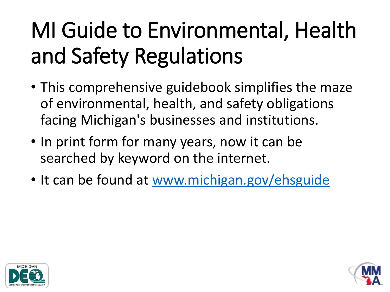## MI Guide to Environmental, Health and Safety Regulations

- This comprehensive guidebook simplifies the maze of environmental, health, and safety obligations facing Michigan's businesses and institutions.
- In print form for many years, now it can be searched by keyword on the internet.
- It can be found at [www.michigan.gov/ehsguide](http://www.michigan.gov/ehsguide)



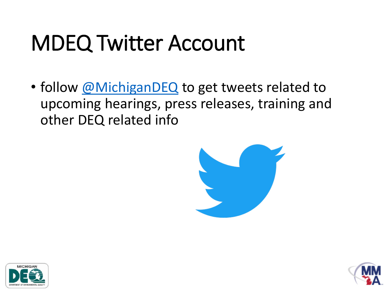#### MDEQ Twitter Account

• follow [@MichiganDEQ](https://twitter.com/michiganDEQ) to get tweets related to upcoming hearings, press releases, training and other DEQ related info





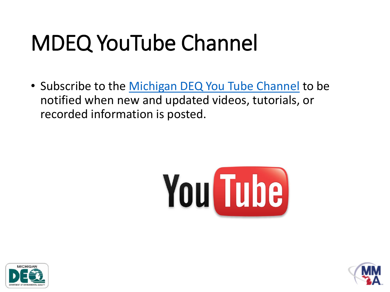## MDEQ YouTube Channel

• Subscribe to the [Michigan DEQ You Tube Channel](https://www.youtube.com/user/MichiganDEQ) to be notified when new and updated videos, tutorials, or recorded information is posted.





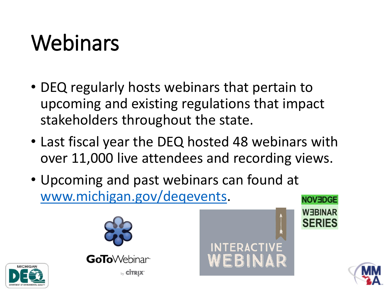## Webinars

- DEQ regularly hosts webinars that pertain to upcoming and existing regulations that impact stakeholders throughout the state.
- Last fiscal year the DEQ hosted 48 webinars with over 11,000 live attendees and recording views.
- Upcoming and past webinars can found at [www.michigan.gov/deqevents](http://www.michigan.gov/deqevents).







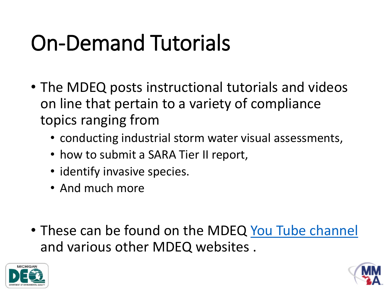## On-Demand Tutorials

- The MDEQ posts instructional tutorials and videos on line that pertain to a variety of compliance topics ranging from
	- conducting industrial storm water visual assessments,
	- how to submit a SARA Tier II report,
	- identify invasive species.
	- And much more
- These can be found on the MDEQ [You Tube channel](https://www.youtube.com/user/MichiganDEQ) and various other MDEQ websites .



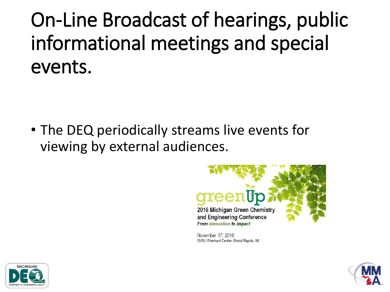On-Line Broadcast of hearings, public informational meetings and special events.

• The DEQ periodically streams live events for viewing by external audiences.



November 17, 2016 GVSU Eberhard Center, Grand Rapids, MI



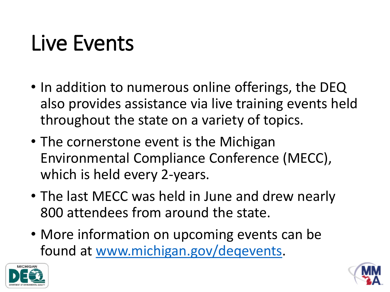#### Live Events

- In addition to numerous online offerings, the DEQ also provides assistance via live training events held throughout the state on a variety of topics.
- The cornerstone event is the Michigan Environmental Compliance Conference (MECC), which is held every 2-years.
- The last MECC was held in June and drew nearly 800 attendees from around the state.
- More information on upcoming events can be found at [www.michigan.gov/deqevents](http://www.michigan.gov/deqevents).